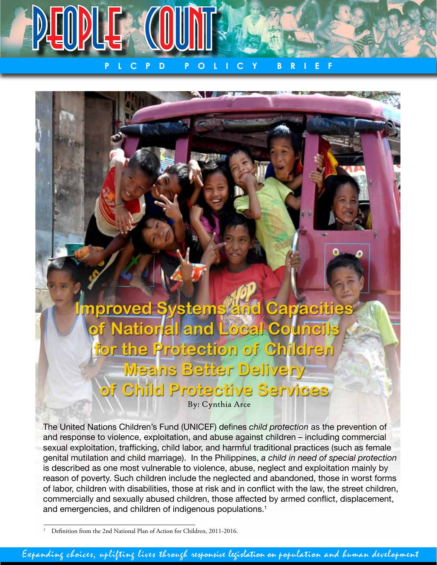

**P L C P D P O L I C Y B R I E F**

mproved Systems and Capaciti of National and Local Counci for the Protection of Children **Means Better Delivery** of Child Protective Services

By: Cynthia Arce

The United Nations Children's Fund (UNICEF) defines *child protection* as the prevention of and response to violence, exploitation, and abuse against children – including commercial sexual exploitation, trafficking, child labor, and harmful traditional practices (such as female genital mutilation and child marriage). In the Philippines, *a child in need of special protection*  is described as one most vulnerable to violence, abuse, neglect and exploitation mainly by reason of poverty. Such children include the neglected and abandoned, those in worst forms of labor, children with disabilities, those at risk and in conflict with the law, the street children, commercially and sexually abused children, those affected by armed conflict, displacement, and emergencies, and children of indigenous populations.<sup>1</sup>

<sup>1</sup> Definition from the 2nd National Plan of Action for Children, 2011-2016.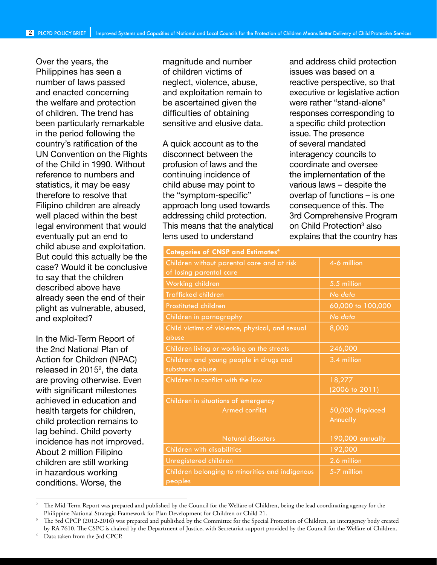Over the years, the Philippines has seen a number of laws passed and enacted concerning the welfare and protection of children. The trend has been particularly remarkable in the period following the country's ratification of the UN Convention on the Rights of the Child in 1990. Without reference to numbers and statistics, it may be easy therefore to resolve that Filipino children are already well placed within the best legal environment that would eventually put an end to child abuse and exploitation. But could this actually be the case? Would it be conclusive to say that the children described above have already seen the end of their plight as vulnerable, abused, and exploited?

In the Mid-Term Report of the 2nd National Plan of Action for Children (NPAC) released in 2015 $2$ , the data are proving otherwise. Even with significant milestones achieved in education and health targets for children, child protection remains to lag behind. Child poverty incidence has not improved. About 2 million Filipino children are still working in hazardous working conditions. Worse, the

magnitude and number of children victims of neglect, violence, abuse, and exploitation remain to be ascertained given the difficulties of obtaining sensitive and elusive data.

A quick account as to the disconnect between the profusion of laws and the continuing incidence of child abuse may point to the "symptom-specific" approach long used towards addressing child protection. This means that the analytical lens used to understand

and address child protection issues was based on a reactive perspective, so that executive or legislative action were rather "stand-alone" responses corresponding to a specific child protection issue. The presence of several mandated interagency councils to coordinate and oversee the implementation of the various laws – despite the overlap of functions – is one consequence of this. The 3rd Comprehensive Program on Child Protection<sup>3</sup> also explains that the country has

| <b>Categories of CNSP and Estimates<sup>4</sup></b>                   |                              |
|-----------------------------------------------------------------------|------------------------------|
| Children without parental care and at risk<br>of losing parental care | 4-6 million                  |
| Working children                                                      | 5.5 million                  |
| Trafficked children                                                   | No data                      |
| <b>Prostituted children</b>                                           | 60,000 to 100,000            |
| Children in pornography                                               | No data                      |
| Child victims of violence, physical, and sexual<br>abuse              | 8,000                        |
| Children living or working on the streets                             | 246,000                      |
| Children and young people in drugs and<br>substance abuse             | 3.4 million                  |
| Children in conflict with the law                                     | 18,277<br>(2006 to 2011)     |
| Children in situations of emergency<br>Armed conflict                 | 50,000 displaced<br>Annually |
| <b>Natural disasters</b>                                              | 190,000 annually             |
| <b>Children with disabilities</b>                                     | 192,000                      |
| Unregistered children                                                 | 2.6 million                  |
| Children belonging to minorities and indigenous<br>peoples            | 5-7 million                  |

<sup>2</sup> The Mid-Term Report was prepared and published by the Council for the Welfare of Children, being the lead coordinating agency for the Philippine National Strategic Framework for Plan Development for Children or Child 21.

Data taken from the 3rd CPCP.

<sup>3</sup> The 3rd CPCP (2012-2016) was prepared and published by the Committee for the Special Protection of Children, an interagency body created by RA 7610. The CSPC is chaired by the Department of Justice, with Secretariat support provided by the Council for the Welfare of Children.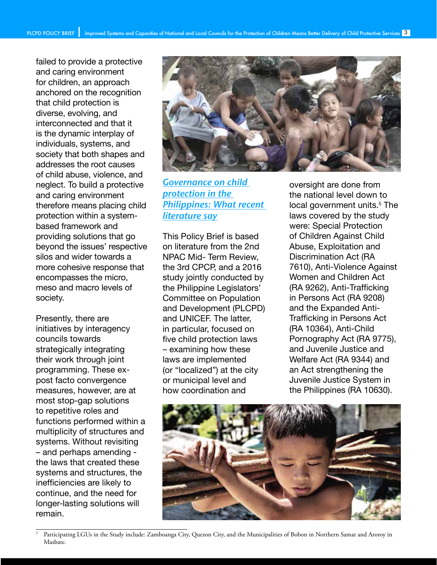failed to provide a protective and caring environment for children, an approach anchored on the recognition that child protection is diverse, evolving, and interconnected and that it is the dynamic interplay of individuals, systems, and society that both shapes and addresses the root causes of child abuse, violence, and neglect. To build a protective and caring environment therefore means placing child protection within a systembased framework and providing solutions that go beyond the issues' respective silos and wider towards a more cohesive response that encompasses the micro, meso and macro levels of society.

Presently, there are initiatives by interagency councils towards strategically integrating their work through joint programming. These expost facto convergence measures, however, are at most stop-gap solutions to repetitive roles and functions performed within a multiplicity of structures and systems. Without revisiting – and perhaps amending the laws that created these systems and structures, the inefficiencies are likely to continue, and the need for longer-lasting solutions will remain.



Governance on child protection in the Philippines: What recent literature say

This Policy Brief is based on literature from the 2nd NPAC Mid- Term Review, the 3rd CPCP, and a 2016 study jointly conducted by the Philippine Legislators' Committee on Population and Development (PLCPD) and UNICEF. The latter, in particular, focused on five child protection laws – examining how these laws are implemented (or "localized") at the city or municipal level and how coordination and

oversight are done from the national level down to local government units.<sup>5</sup> The laws covered by the study were: Special Protection of Children Against Child Abuse, Exploitation and Discrimination Act (RA 7610), Anti-Violence Against Women and Children Act (RA 9262), Anti-Trafficking in Persons Act (RA 9208) and the Expanded Anti-Trafficking in Persons Act (RA 10364), Anti-Child Pornography Act (RA 9775), and Juvenile Justice and Welfare Act (RA 9344) and an Act strengthening the Juvenile Justice System in the Philippines (RA 10630).



Participating LGUs in the Study include: Zamboanga City, Quezon City, and the Municipalities of Bobon in Northern Samar and Aroroy in Masbate.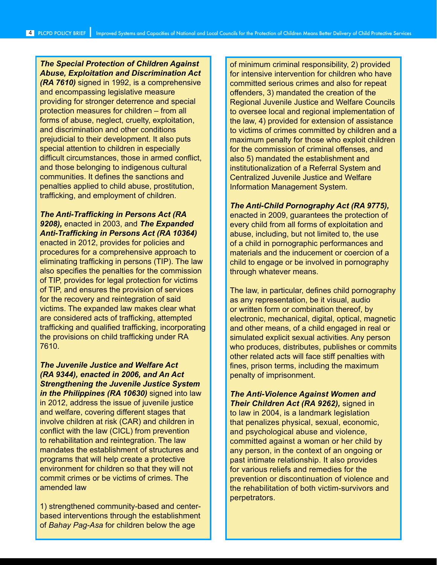*The Special Protection of Children Against Abuse, Exploitation and Discrimination Act (RA 7610)* signed in 1992, is a comprehensive and encompassing legislative measure providing for stronger deterrence and special protection measures for children – from all forms of abuse, neglect, cruelty, exploitation, and discrimination and other conditions prejudicial to their development. It also puts special attention to children in especially difficult circumstances, those in armed conflict, and those belonging to indigenous cultural communities. It defines the sanctions and penalties applied to child abuse, prostitution, trafficking, and employment of children.

*The Anti-Trafficking in Persons Act (RA 9208),* enacted in 2003, and *The Expanded Anti-Trafficking in Persons Act (RA 10364)*  enacted in 2012, provides for policies and procedures for a comprehensive approach to eliminating trafficking in persons (TIP). The law also specifies the penalties for the commission of TIP, provides for legal protection for victims of TIP, and ensures the provision of services for the recovery and reintegration of said victims. The expanded law makes clear what are considered acts of trafficking, attempted trafficking and qualified trafficking, incorporating the provisions on child trafficking under RA 7610.

*The Juvenile Justice and Welfare Act (RA 9344), enacted in 2006, and An Act Strengthening the Juvenile Justice System in the Philippines (RA 10630)* signed into law in 2012, address the issue of juvenile justice and welfare, covering different stages that involve children at risk (CAR) and children in conflict with the law (CICL) from prevention to rehabilitation and reintegration. The law mandates the establishment of structures and programs that will help create a protective environment for children so that they will not commit crimes or be victims of crimes. The amended law

1) strengthened community-based and centerbased interventions through the establishment of *Bahay Pag-Asa* for children below the age

of minimum criminal responsibility, 2) provided for intensive intervention for children who have committed serious crimes and also for repeat offenders, 3) mandated the creation of the Regional Juvenile Justice and Welfare Councils to oversee local and regional implementation of the law, 4) provided for extension of assistance to victims of crimes committed by children and a maximum penalty for those who exploit children for the commission of criminal offenses, and also 5) mandated the establishment and institutionalization of a Referral System and Centralized Juvenile Justice and Welfare Information Management System.

#### *The Anti-Child Pornography Act (RA 9775),*

enacted in 2009, guarantees the protection of every child from all forms of exploitation and abuse, including, but not limited to, the use of a child in pornographic performances and materials and the inducement or coercion of a child to engage or be involved in pornography through whatever means.

The law, in particular, defines child pornography as any representation, be it visual, audio or written form or combination thereof, by electronic, mechanical, digital, optical, magnetic and other means, of a child engaged in real or simulated explicit sexual activities. Any person who produces, distributes, publishes or commits other related acts will face stiff penalties with fines, prison terms, including the maximum penalty of imprisonment.

*The Anti-Violence Against Women and Their Children Act (RA 9262),* signed in to law in 2004, is a landmark legislation that penalizes physical, sexual, economic, and psychological abuse and violence, committed against a woman or her child by any person, in the context of an ongoing or past intimate relationship. It also provides for various reliefs and remedies for the prevention or discontinuation of violence and the rehabilitation of both victim-survivors and perpetrators.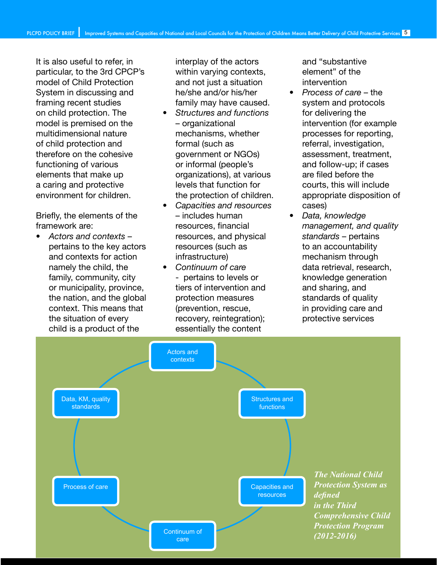It is also useful to refer, in particular, to the 3rd CPCP's model of Child Protection System in discussing and framing recent studies on child protection. The model is premised on the multidimensional nature of child protection and therefore on the cohesive functioning of various elements that make up a caring and protective environment for children.

Briefly, the elements of the framework are:

• *Actors and contexts* – pertains to the key actors and contexts for action namely the child, the family, community, city or municipality, province, the nation, and the global context. This means that the situation of every child is a product of the

interplay of the actors within varying contexts, and not just a situation he/she and/or his/her family may have caused.

- *Structures and functions*  – organizational mechanisms, whether formal (such as government or NGOs) or informal (people's organizations), at various levels that function for the protection of children.
- *Capacities and resources*  – includes human resources, financial resources, and physical resources (such as infrastructure)
- *Continuum of care* - pertains to levels or tiers of intervention and protection measures (prevention, rescue, recovery, reintegration); essentially the content

and "substantive element" of the intervention

- *Process of care* the system and protocols for delivering the intervention (for example processes for reporting, referral, investigation, assessment, treatment, and follow-up; if cases are filed before the courts, this will include appropriate disposition of cases)
- *Data, knowledge management, and quality standards* – pertains to an accountability mechanism through data retrieval, research, knowledge generation and sharing, and standards of quality in providing care and protective services

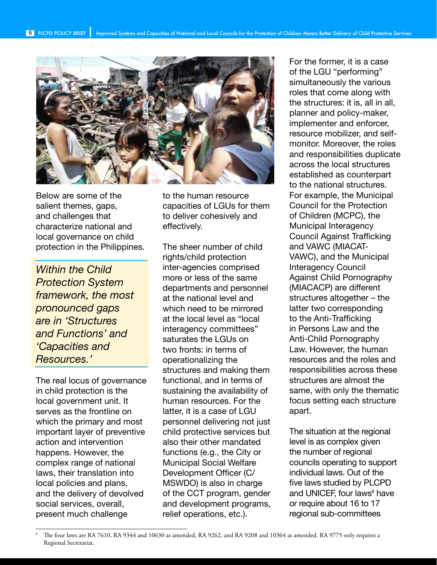

Below are some of the salient themes, gaps, and challenges that characterize national and local governance on child protection in the Philippines.

*Within the Child Protection System framework, the most pronounced gaps are in 'Structures and Functions' and 'Capacities and Resources.'*

The real locus of governance in child protection is the local government unit. It serves as the frontline on which the primary and most important layer of preventive action and intervention happens. However, the complex range of national laws, their translation into local policies and plans, and the delivery of devolved social services, overall, present much challenge

to the human resource capacities of LGUs for them to deliver cohesively and effectively.

The sheer number of child rights/child protection inter-agencies comprised more or less of the same departments and personnel at the national level and which need to be mirrored at the local level as "local interagency committees" saturates the LGUs on two fronts: in terms of operationalizing the structures and making them functional, and in terms of sustaining the availability of human resources. For the latter, it is a case of LGU personnel delivering not just child protective services but also their other mandated functions (e.g., the City or Municipal Social Welfare Development Officer (C/ MSWDO) is also in charge of the CCT program, gender and development programs, relief operations, etc.).

For the former, it is a case of the LGU "performing" simultaneously the various roles that come along with the structures: it is, all in all, planner and policy-maker, implementer and enforcer, resource mobilizer, and selfmonitor. Moreover, the roles and responsibilities duplicate across the local structures established as counterpart to the national structures. For example, the Municipal Council for the Protection of Children (MCPC), the Municipal Interagency Council Against Trafficking and VAWC (MIACAT-VAWC), and the Municipal Interagency Council Against Child Pornography (MIACACP) are different structures altogether – the latter two corresponding to the Anti-Trafficking in Persons Law and the Anti-Child Pornography Law. However, the human resources and the roles and responsibilities across these structures are almost the same, with only the thematic focus setting each structure apart.

The situation at the regional level is as complex given the number of regional councils operating to support individual laws. Out of the five laws studied by PLCPD and UNICEF, four laws<sup>6</sup> have or require about 16 to 17 regional sub-committees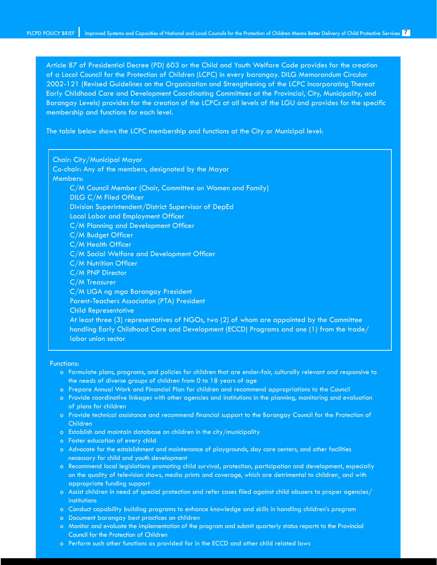Article 87 of Presidential Decree (PD) 603 or the Child and Youth Welfare Code provides for the creation of a Local Council for the Protection of Children (LCPC) in every barangay. DILG Memorandum Circular 2002-121 (Revised Guidelines on the Organization and Strengthening of the LCPC Incorporating Thereat Early Childhood Care and Development Coordinating Committees at the Provincial, City, Municipality, and Barangay Levels) provides for the creation of the LCPCs at all levels of the LGU and provides for the specific membership and functions for each level.

The table below shows the LCPC membership and functions at the City or Municipal level:

Chair: City/Municipal Mayor Co-chair: Any of the members, designated by the Mayor Members: C/M Council Member (Chair, Committee on Women and Family) DILG C/M Filed Officer Division Superintendent/District Supervisor of DepEd Local Labor and Employment Officer C/M Planning and Development Officer C/M Budget Officer C/M Health Officer C/M Social Welfare and Development Officer C/M Nutrition Officer C/M PNP Director C/M Treasurer C/M LIGA ng mga Barangay President Parent-Teachers Association (PTA) President Child Representative At least three (3) representatives of NGOs, two (2) of whom are appointed by the Committee handling Early Childhood Care and Development (ECCD) Programs and one (1) from the trade/ labor union sector

Functions:

- o Formulate plans, programs, and policies for children that are ender-fair, culturally relevant and responsive to the needs of diverse groups of children from 0 to 18 years of age
- o Prepare Annual Work and Financial Plan for children and recommend appropriations to the Council
- o Provide coordinative linkages with other agencies and institutions in the planning, monitoring and evaluation of plans for children
- o Provide technical assistance and recommend financial support to the Barangay Council for the Protection of Children
- o Establish and maintain database on children in the city/municipality
- o Foster education of every child
- o Advocate for the establishment and maintenance of playgrounds, day care centers, and other facilities necessary for child and youth development
- o Recommend local legislations promoting child survival, protection, participation and development, especially on the quality of television shows, media prints and coverage, which are detrimental to children¸ and with appropriate funding support
- o Assist children in need of special protection and refer cases filed against child abusers to proper agencies/ institutions
- o Conduct capability building programs to enhance knowledge and skills in handling children's program
- o Document barangay best practices on children
- o Monitor and evaluate the implementation of the program and submit quarterly status reports to the Provincial Council for the Protection of Children
- o Perform such other functions as provided for in the ECCD and other child related laws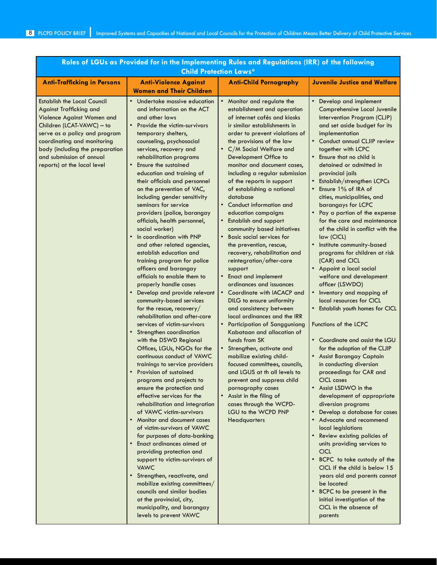| <b>Child Protection Laws*</b>                                                                                                                                                                                                                                                                 |                                                                                                                                                                                                                                                                                                                                                                                                                                                                                                                                                                                                                                                                                                                                                                                                                                                                                                                                                                                                                                                                                                                                                                                                                                                                                                                                                                                                                                                                                                                                                                                                                                    |                                                                                                                                                                                                                                                                                                                                                                                                                                                                                                                                                                                                                                                                                                                                                                                                                                                                                                                                                                                                                                                                                                                                                                                                        |                                                                                                                                                                                                                                                                                                                                                                                                                                                                                                                                                                                                                                                                                                                                                                                                                                                                                                                                                                                                                                                                                                                                                                                                                                                                                                                                                                                                                                           |  |
|-----------------------------------------------------------------------------------------------------------------------------------------------------------------------------------------------------------------------------------------------------------------------------------------------|------------------------------------------------------------------------------------------------------------------------------------------------------------------------------------------------------------------------------------------------------------------------------------------------------------------------------------------------------------------------------------------------------------------------------------------------------------------------------------------------------------------------------------------------------------------------------------------------------------------------------------------------------------------------------------------------------------------------------------------------------------------------------------------------------------------------------------------------------------------------------------------------------------------------------------------------------------------------------------------------------------------------------------------------------------------------------------------------------------------------------------------------------------------------------------------------------------------------------------------------------------------------------------------------------------------------------------------------------------------------------------------------------------------------------------------------------------------------------------------------------------------------------------------------------------------------------------------------------------------------------------|--------------------------------------------------------------------------------------------------------------------------------------------------------------------------------------------------------------------------------------------------------------------------------------------------------------------------------------------------------------------------------------------------------------------------------------------------------------------------------------------------------------------------------------------------------------------------------------------------------------------------------------------------------------------------------------------------------------------------------------------------------------------------------------------------------------------------------------------------------------------------------------------------------------------------------------------------------------------------------------------------------------------------------------------------------------------------------------------------------------------------------------------------------------------------------------------------------|-------------------------------------------------------------------------------------------------------------------------------------------------------------------------------------------------------------------------------------------------------------------------------------------------------------------------------------------------------------------------------------------------------------------------------------------------------------------------------------------------------------------------------------------------------------------------------------------------------------------------------------------------------------------------------------------------------------------------------------------------------------------------------------------------------------------------------------------------------------------------------------------------------------------------------------------------------------------------------------------------------------------------------------------------------------------------------------------------------------------------------------------------------------------------------------------------------------------------------------------------------------------------------------------------------------------------------------------------------------------------------------------------------------------------------------------|--|
| <b>Anti-Trafficking in Persons</b>                                                                                                                                                                                                                                                            | <b>Anti-Violence Against</b><br><b>Women and Their Children</b>                                                                                                                                                                                                                                                                                                                                                                                                                                                                                                                                                                                                                                                                                                                                                                                                                                                                                                                                                                                                                                                                                                                                                                                                                                                                                                                                                                                                                                                                                                                                                                    | <b>Anti-Child Pornography</b>                                                                                                                                                                                                                                                                                                                                                                                                                                                                                                                                                                                                                                                                                                                                                                                                                                                                                                                                                                                                                                                                                                                                                                          | <b>Juvenile Justice and Welfare</b>                                                                                                                                                                                                                                                                                                                                                                                                                                                                                                                                                                                                                                                                                                                                                                                                                                                                                                                                                                                                                                                                                                                                                                                                                                                                                                                                                                                                       |  |
| <b>Establish the Local Council</b><br><b>Against Trafficking and</b><br>Violence Against Women and<br>Children (LCAT-VAWC) - to<br>serve as a policy and program<br>coordinating and monitoring<br>body (including the preparation<br>and submission of annual<br>reports) at the local level | Undertake massive education<br>and information on the ACT<br>and other laws<br>Provide the victim-survivors<br>$\bullet$<br>temporary shelters,<br>counseling, psychosocial<br>services, recovery and<br>rehabilitation programs<br>Ensure the sustained<br>education and training of<br>their officials and personnel<br>on the prevention of VAC,<br>including gender sensitivity<br>seminars for service<br>providers (police, barangay<br>officials, health personnel,<br>social worker)<br>In coordination with PNP<br>$\bullet$<br>and other related agencies,<br>establish education and<br>training program for police<br>officers and barangay<br>officials to enable them to<br>properly handle cases<br>Develop and provide relevant<br>$\bullet$<br>community-based services<br>for the rescue, recovery/<br>rehabilitation and after-care<br>services of victim-survivors<br>Strengthen coordination<br>with the DSWD Regional<br>Offices, LGUs, NGOs for the<br>continuous conduct of VAWC<br>trainings to service providers<br>Provision of sustained<br>programs and projects to<br>ensure the protection and<br>effective services for the<br>rehabilitation and integration<br>of VAWC victim-survivors<br>• Monitor and document cases<br>of victim-survivors of VAWC<br>for purposes of data-banking<br>Enact ordinances aimed at<br>providing protection and<br>support to victim-survivors of<br><b>VAWC</b><br>Strengthen, reactivate, and<br>$\bullet$<br>mobilize existing committees/<br>councils and similar bodies<br>at the provincial, city,<br>municipality, and barangay<br>levels to prevent VAWC | • Monitor and regulate the<br>establishment and operation<br>of internet cafés and kiosks<br>ir similar establishments in<br>order to prevent violations of<br>the provisions of the law<br>• C/M Social Welfare and<br>Development Office to<br>monitor and document cases,<br>including a regular submission<br>of the reports in support<br>of establishing a national<br>database<br>• Conduct information and<br>education campaigns<br><b>Establish and support</b><br>community based initiatives<br>Basic social services for<br>$\bullet$<br>the prevention, rescue,<br>recovery, rehabilitation and<br>reintegration/after-care<br>support<br>• Enact and implement<br>ordinances and issuances<br>• Coordinate with IACACP and<br>DILG to ensure uniformity<br>and consistency between<br>local ordinances and the IRR<br>• Participation of Sangguniang<br>Kabataan and allocation of<br>funds from SK<br>• Strengthen, activate and<br>mobilize existing child-<br>focused committees, councils,<br>and LGUS at th all levels to<br>prevent and suppress child<br>pornography cases<br>• Assist in the filing of<br>cases through the WCPD-<br>LGU to the WCPD PNP<br><b>Headquarters</b> | • Develop and implement<br>Comprehensive Local Juvenile<br>Intervention Program (CLJP)<br>and set aside budget for its<br>implementation<br>• Conduct annual CLJIP review<br>together with LCPC<br>Ensure that no child is<br>detained or admitted in<br>provincial jails<br>• Establish/strengthen LCPCs<br>Ensure 1% of IRA of<br>cities, municipalities, and<br>barangays for LCPC<br>• Pay a portion of the expense<br>for the care and maintenance<br>of the child in conflict with the<br>law (CICL)<br>• Institute community-based<br>programs for children at risk<br>(CAR) and CICL<br>• Appoint a local social<br>welfare and development<br>officer (LSWDO)<br>• Inventory and mapping of<br>local resources for CICL<br>• Establish youth homes for CICL<br>Functions of the LCPC<br>• Coordinate and assist the LGU<br>for the adoption of the CLJIP<br>• Assist Barangay Captain<br>in conducting diversion<br>proceedings for CAR and<br>CICL cases<br>Assist LSDWO in the<br>development of appropriate<br>diversion programs<br>Develop a database for cases<br>$\bullet$<br>• Advocate and recommend<br>local legislations<br>Review existing policies of<br>units providing services to<br><b>CICL</b><br>BCPC to take custody of the<br>CICL if the child is below 15<br>years old and parents cannot<br>be located<br>BCPC to be present in the<br>initial investigation of the<br>CICL in the absence of<br>parents |  |

# **Roles of LGUs as Provided for in the Implementing Rules and Regulations (IRR) of the following**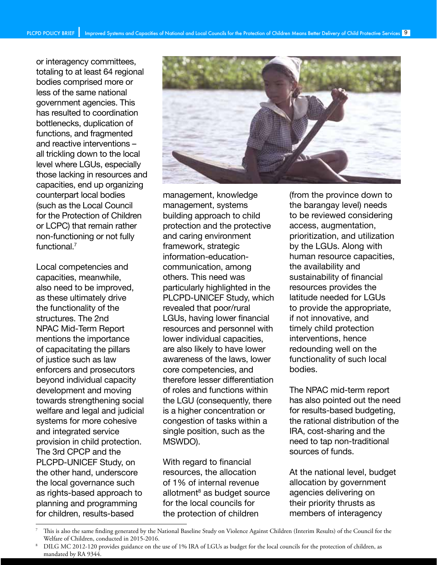or interagency committees, totaling to at least 64 regional bodies comprised more or less of the same national government agencies. This has resulted to coordination bottlenecks, duplication of functions, and fragmented and reactive interventions – all trickling down to the local level where LGUs, especially those lacking in resources and capacities, end up organizing counterpart local bodies (such as the Local Council for the Protection of Children or LCPC) that remain rather non-functioning or not fully functional.<sup>7</sup>

Local competencies and capacities, meanwhile, also need to be improved, as these ultimately drive the functionality of the structures. The 2nd NPAC Mid-Term Report mentions the importance of capacitating the pillars of justice such as law enforcers and prosecutors beyond individual capacity development and moving towards strengthening social welfare and legal and judicial systems for more cohesive and integrated service provision in child protection. The 3rd CPCP and the PLCPD-UNICEF Study, on the other hand, underscore the local governance such as rights-based approach to planning and programming for children, results-based



management, knowledge management, systems building approach to child protection and the protective and caring environment framework, strategic information-educationcommunication, among others. This need was particularly highlighted in the PLCPD-UNICEF Study, which revealed that poor/rural LGUs, having lower financial resources and personnel with lower individual capacities, are also likely to have lower awareness of the laws, lower core competencies, and therefore lesser differentiation of roles and functions within the LGU (consequently, there is a higher concentration or congestion of tasks within a single position, such as the MSWDO).

With regard to financial resources, the allocation of 1% of internal revenue allotment<sup>8</sup> as budget source for the local councils for the protection of children

(from the province down to the barangay level) needs to be reviewed considering access, augmentation, prioritization, and utilization by the LGUs. Along with human resource capacities, the availability and sustainability of financial resources provides the latitude needed for LGUs to provide the appropriate, if not innovative, and timely child protection interventions, hence redounding well on the functionality of such local bodies.

The NPAC mid-term report has also pointed out the need for results-based budgeting, the rational distribution of the IRA, cost-sharing and the need to tap non-traditional sources of funds.

At the national level, budget allocation by government agencies delivering on their priority thrusts as members of interagency

<sup>7</sup> This is also the same finding generated by the National Baseline Study on Violence Against Children (Interim Results) of the Council for the Welfare of Children, conducted in 2015-2016.

<sup>8</sup> DILG MC 2012-120 provides guidance on the use of 1% IRA of LGUs as budget for the local councils for the protection of children, as mandated by RA 9344.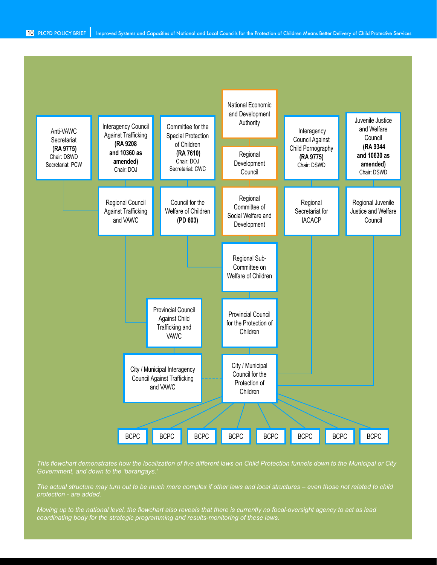

*This flowchart demonstrates how the localization of five different laws on Child Protection funnels down to the Municipal or City Government, and down to the 'barangays.'*

*The actual structure may turn out to be much more complex if other laws and local structures – even those not related to child protection - are added.*

*Moving up to the national level, the flowchart also reveals that there is currently no focal-oversight agency to act as lead coordinating body for the strategic programming and results-monitoring of these laws.*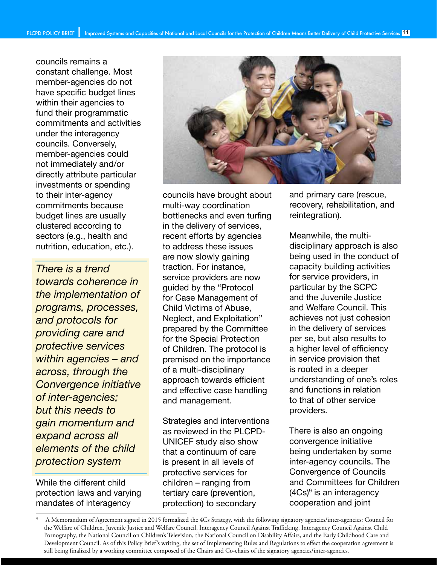councils remains a constant challenge. Most member-agencies do not have specific budget lines within their agencies to fund their programmatic commitments and activities under the interagency councils. Conversely, member-agencies could not immediately and/or directly attribute particular investments or spending to their inter-agency commitments because budget lines are usually clustered according to sectors (e.g., health and nutrition, education, etc.).

*There is a trend towards coherence in the implementation of programs, processes, and protocols for providing care and protective services within agencies – and across, through the Convergence initiative of inter-agencies; but this needs to gain momentum and expand across all elements of the child protection system*

While the different child protection laws and varying mandates of interagency



councils have brought about multi-way coordination bottlenecks and even turfing in the delivery of services, recent efforts by agencies to address these issues are now slowly gaining traction. For instance, service providers are now guided by the "Protocol for Case Management of Child Victims of Abuse, Neglect, and Exploitation" prepared by the Committee for the Special Protection of Children. The protocol is premised on the importance of a multi-disciplinary approach towards efficient and effective case handling and management.

Strategies and interventions as reviewed in the PLCPD-UNICEF study also show that a continuum of care is present in all levels of protective services for children – ranging from tertiary care (prevention, protection) to secondary

and primary care (rescue, recovery, rehabilitation, and reintegration).

Meanwhile, the multidisciplinary approach is also being used in the conduct of capacity building activities for service providers, in particular by the SCPC and the Juvenile Justice and Welfare Council. This achieves not just cohesion in the delivery of services per se, but also results to a higher level of efficiency in service provision that is rooted in a deeper understanding of one's roles and functions in relation to that of other service providers.

There is also an ongoing convergence initiative being undertaken by some inter-agency councils. The Convergence of Councils and Committees for Children (4Cs)9 is an interagency cooperation and joint

<sup>9</sup> A Memorandum of Agreement signed in 2015 formalized the 4Cs Strategy, with the following signatory agencies/inter-agencies: Council for the Welfare of Children, Juvenile Justice and Welfare Council, Interagency Council Against Trafficking, Interagency Council Against Child Pornography, the National Council on Children's Television, the National Council on Disability Affairs, and the Early Childhood Care and Development Council. As of this Policy Brief's writing, the set of Implementing Rules and Regulations to effect the cooperation agreement is still being finalized by a working committee composed of the Chairs and Co-chairs of the signatory agencies/inter-agencies.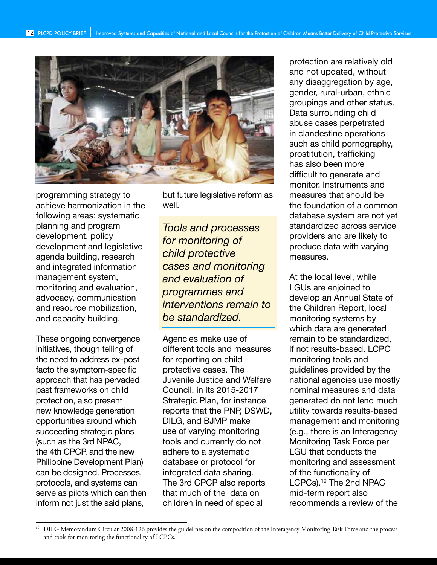

programming strategy to achieve harmonization in the following areas: systematic planning and program development, policy development and legislative agenda building, research and integrated information management system, monitoring and evaluation, advocacy, communication and resource mobilization, and capacity building.

These ongoing convergence initiatives, though telling of the need to address ex-post facto the symptom-specific approach that has pervaded past frameworks on child protection, also present new knowledge generation opportunities around which succeeding strategic plans (such as the 3rd NPAC, the 4th CPCP, and the new Philippine Development Plan) can be designed. Processes, protocols, and systems can serve as pilots which can then inform not just the said plans,

but future legislative reform as well.

*Tools and processes for monitoring of child protective cases and monitoring and evaluation of programmes and interventions remain to be standardized.*

Agencies make use of different tools and measures for reporting on child protective cases. The Juvenile Justice and Welfare Council, in its 2015-2017 Strategic Plan, for instance reports that the PNP, DSWD, DILG, and BJMP make use of varying monitoring tools and currently do not adhere to a systematic database or protocol for integrated data sharing. The 3rd CPCP also reports that much of the data on children in need of special

protection are relatively old and not updated, without any disaggregation by age, gender, rural-urban, ethnic groupings and other status. Data surrounding child abuse cases perpetrated in clandestine operations such as child pornography, prostitution, trafficking has also been more difficult to generate and monitor. Instruments and measures that should be the foundation of a common database system are not yet standardized across service providers and are likely to produce data with varying measures.

At the local level, while LGUs are enjoined to develop an Annual State of the Children Report, local monitoring systems by which data are generated remain to be standardized, if not results-based. LCPC monitoring tools and guidelines provided by the national agencies use mostly nominal measures and data generated do not lend much utility towards results-based management and monitoring (e.g., there is an Interagency Monitoring Task Force per LGU that conducts the monitoring and assessment of the functionality of LCPCs).<sup>10</sup> The 2nd NPAC mid-term report also recommends a review of the

<sup>10</sup> DILG Memorandum Circular 2008-126 provides the guidelines on the composition of the Interagency Monitoring Task Force and the process and tools for monitoring the functionality of LCPCs.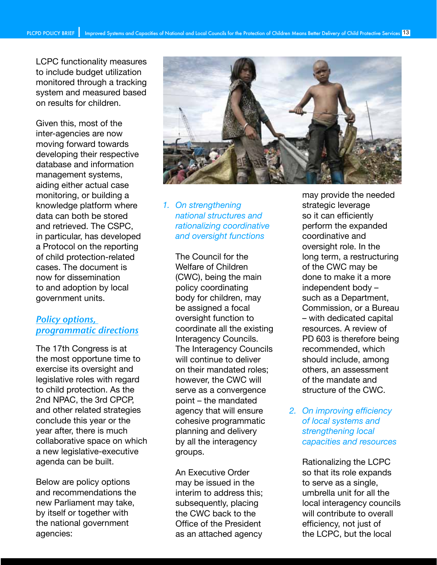LCPC functionality measures to include budget utilization monitored through a tracking system and measured based on results for children.

Given this, most of the inter-agencies are now moving forward towards developing their respective database and information management systems, aiding either actual case monitoring, or building a knowledge platform where data can both be stored and retrieved. The CSPC, in particular, has developed a Protocol on the reporting of child protection-related cases. The document is now for dissemination to and adoption by local government units.

## Policy options, programmatic directions

The 17th Congress is at the most opportune time to exercise its oversight and legislative roles with regard to child protection. As the 2nd NPAC, the 3rd CPCP, and other related strategies conclude this year or the year after, there is much collaborative space on which a new legislative-executive agenda can be built.

Below are policy options and recommendations the new Parliament may take, by itself or together with the national government agencies:



#### *1. On strengthening national structures and rationalizing coordinative and oversight functions*

The Council for the Welfare of Children (CWC), being the main policy coordinating body for children, may be assigned a focal oversight function to coordinate all the existing Interagency Councils. The Interagency Councils will continue to deliver on their mandated roles; however, the CWC will serve as a convergence point – the mandated agency that will ensure cohesive programmatic planning and delivery by all the interagency groups.

An Executive Order may be issued in the interim to address this; subsequently, placing the CWC back to the Office of the President as an attached agency may provide the needed strategic leverage so it can efficiently perform the expanded coordinative and oversight role. In the long term, a restructuring of the CWC may be done to make it a more independent body – such as a Department, Commission, or a Bureau – with dedicated capital resources. A review of PD 603 is therefore being recommended, which should include, among others, an assessment of the mandate and structure of the CWC.

*2. On improving efficiency of local systems and strengthening local capacities and resources* 

> Rationalizing the LCPC so that its role expands to serve as a single, umbrella unit for all the local interagency councils will contribute to overall efficiency, not just of the LCPC, but the local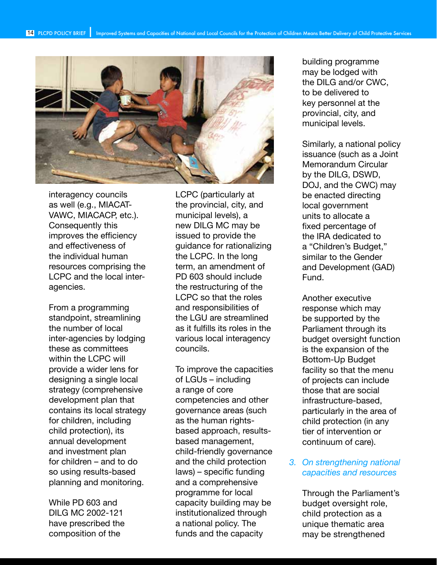

interagency councils as well (e.g., MIACAT-VAWC, MIACACP, etc.). Consequently this improves the efficiency and effectiveness of the individual human resources comprising the LCPC and the local interagencies.

From a programming standpoint, streamlining the number of local inter-agencies by lodging these as committees within the LCPC will provide a wider lens for designing a single local strategy (comprehensive development plan that contains its local strategy for children, including child protection), its annual development and investment plan for children – and to do so using results-based planning and monitoring.

While PD 603 and DILG MC 2002-121 have prescribed the composition of the

LCPC (particularly at the provincial, city, and municipal levels), a new DILG MC may be issued to provide the guidance for rationalizing the LCPC. In the long term, an amendment of PD 603 should include the restructuring of the LCPC so that the roles and responsibilities of the LGU are streamlined as it fulfills its roles in the various local interagency councils.

To improve the capacities of LGUs – including a range of core competencies and other governance areas (such as the human rightsbased approach, resultsbased management, child-friendly governance and the child protection laws) – specific funding and a comprehensive programme for local capacity building may be institutionalized through a national policy. The funds and the capacity

building programme may be lodged with the DILG and/or CWC, to be delivered to key personnel at the provincial, city, and municipal levels.

Similarly, a national policy issuance (such as a Joint Memorandum Circular by the DILG, DSWD, DOJ, and the CWC) may be enacted directing local government units to allocate a fixed percentage of the IRA dedicated to a "Children's Budget," similar to the Gender and Development (GAD) Fund.

Another executive response which may be supported by the Parliament through its budget oversight function is the expansion of the Bottom-Up Budget facility so that the menu of projects can include those that are social infrastructure-based, particularly in the area of child protection (in any tier of intervention or continuum of care).

#### *3. On strengthening national capacities and resources*

Through the Parliament's budget oversight role, child protection as a unique thematic area may be strengthened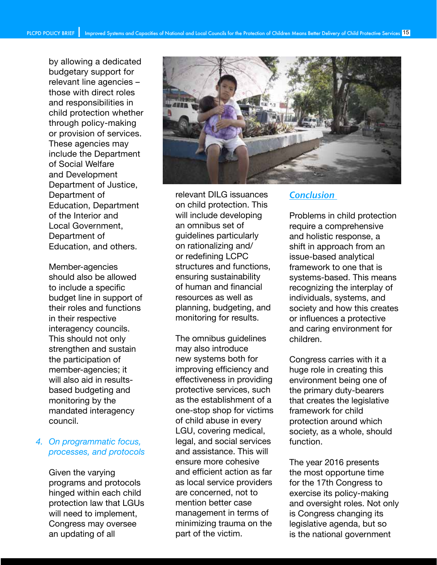by allowing a dedicated budgetary support for relevant line agencies – those with direct roles and responsibilities in child protection whether through policy-making or provision of services. These agencies may include the Department of Social Welfare and Development Department of Justice, Department of Education, Department of the Interior and Local Government, Department of Education, and others.

Member-agencies should also be allowed to include a specific budget line in support of their roles and functions in their respective interagency councils. This should not only strengthen and sustain the participation of member-agencies; it will also aid in resultsbased budgeting and monitoring by the mandated interagency council.

#### *4. On programmatic focus, processes, and protocols*

Given the varying programs and protocols hinged within each child protection law that LGUs will need to implement, Congress may oversee an updating of all



relevant DILG issuances on child protection. This will include developing an omnibus set of guidelines particularly on rationalizing and/ or redefining LCPC structures and functions, ensuring sustainability of human and financial resources as well as planning, budgeting, and monitoring for results.

The omnibus guidelines may also introduce new systems both for improving efficiency and effectiveness in providing protective services, such as the establishment of a one-stop shop for victims of child abuse in every LGU, covering medical, legal, and social services and assistance. This will ensure more cohesive and efficient action as far as local service providers are concerned, not to mention better case management in terms of minimizing trauma on the part of the victim.

### **Conclusion**

Problems in child protection require a comprehensive and holistic response, a shift in approach from an issue-based analytical framework to one that is systems-based. This means recognizing the interplay of individuals, systems, and society and how this creates or influences a protective and caring environment for children.

Congress carries with it a huge role in creating this environment being one of the primary duty-bearers that creates the legislative framework for child protection around which society, as a whole, should function.

The year 2016 presents the most opportune time for the 17th Congress to exercise its policy-making and oversight roles. Not only is Congress changing its legislative agenda, but so is the national government